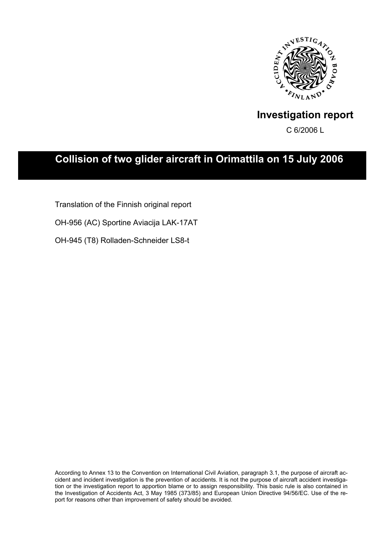

# **Investigation report**

C 6/2006 L

# **Collision of two glider aircraft in Orimattila on 15 July 2006**

Translation of the Finnish original report

OH-956 (AC) Sportine Aviacija LAK-17AT

OH-945 (T8) Rolladen-Schneider LS8-t

According to Annex 13 to the Convention on International Civil Aviation, paragraph 3.1, the purpose of aircraft accident and incident investigation is the prevention of accidents. It is not the purpose of aircraft accident investigation or the investigation report to apportion blame or to assign responsibility. This basic rule is also contained in the Investigation of Accidents Act, 3 May 1985 (373/85) and European Union Directive 94/56/EC. Use of the report for reasons other than improvement of safety should be avoided.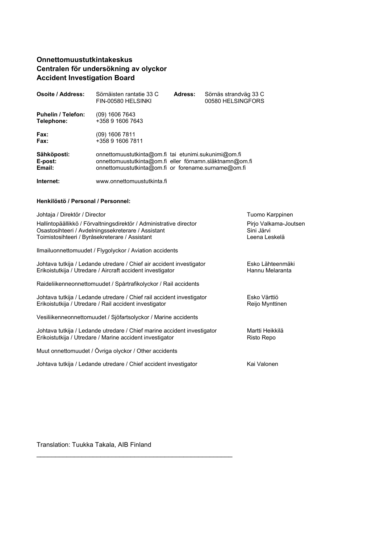## **Onnettomuustutkintakeskus Centralen för undersökning av olyckor Accident Investigation Board**

| Osoite / Address:                       | Sörnäisten rantatie 33 C<br>FIN-00580 HELSINKI                                                                                                                         | Adress: | Sörnäs strandväg 33 C<br>00580 HELSINGFORS |
|-----------------------------------------|------------------------------------------------------------------------------------------------------------------------------------------------------------------------|---------|--------------------------------------------|
| <b>Puhelin / Telefon:</b><br>Telephone: | (09) 1606 7643<br>+358 9 1606 7643                                                                                                                                     |         |                                            |
| <b>Fax:</b><br>Fax:                     | (09) 1606 7811<br>+358 9 1606 7811                                                                                                                                     |         |                                            |
| Sähköposti:<br>E-post:<br>Email:        | onnettomuustutkinta@om.fi tai etunimi.sukunimi@om.fi<br>onnettomuustutkinta@om.fi eller förnamn.släktnamn@om.fi<br>onnettomuustutkinta@om.fi or forename.surname@om.fi |         |                                            |
| Internet:                               | www.onnettomuustutkinta.fi                                                                                                                                             |         |                                            |

#### **Henkilöstö / Personal / Personnel:**

| Johtaja / Direktör / Director                                                                                                                                              | Tuomo Karppinen                                      |
|----------------------------------------------------------------------------------------------------------------------------------------------------------------------------|------------------------------------------------------|
| Hallintopäällikkö / Förvaltningsdirektör / Administrative director<br>Osastosihteeri / Avdelningssekreterare / Assistant<br>Toimistosihteeri / Byråsekreterare / Assistant | Pirjo Valkama-Joutsen<br>Sini Järvi<br>Leena Leskelä |
| Ilmailuonnettomuudet / Flygolyckor / Aviation accidents                                                                                                                    |                                                      |
| Johtava tutkija / Ledande utredare / Chief air accident investigator<br>Erikoistutkija / Utredare / Aircraft accident investigator                                         | Esko Lähteenmäki<br>Hannu Melaranta                  |
| Raideliikenneonnettomuudet / Spårtrafikolyckor / Rail accidents                                                                                                            |                                                      |
| Johtava tutkija / Ledande utredare / Chief rail accident investigator<br>Erikoistutkija / Utredare / Rail accident investigator                                            | Esko Värttiö<br>Reijo Mynttinen                      |
| Vesiliikenneonnettomuudet / Sjöfartsolyckor / Marine accidents                                                                                                             |                                                      |
| Johtava tutkija / Ledande utredare / Chief marine accident investigator<br>Erikoistutkija / Utredare / Marine accident investigator                                        | Martti Heikkilä<br>Risto Repo                        |
| Muut onnettomuudet / Övriga olyckor / Other accidents                                                                                                                      |                                                      |
| Johtava tutkija / Ledande utredare / Chief accident investigator                                                                                                           | Kai Valonen                                          |

Translation: Tuukka Takala, AIB Finland

\_\_\_\_\_\_\_\_\_\_\_\_\_\_\_\_\_\_\_\_\_\_\_\_\_\_\_\_\_\_\_\_\_\_\_\_\_\_\_\_\_\_\_\_\_\_\_\_\_\_\_\_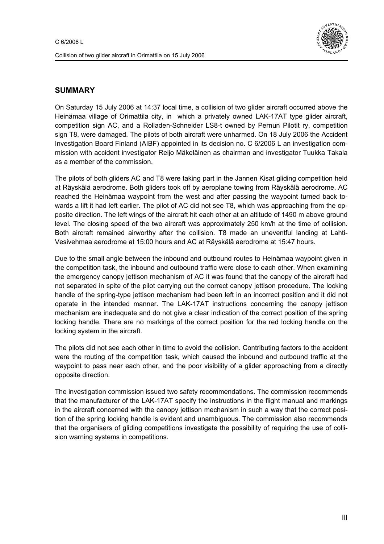

## **SUMMARY**

On Saturday 15 July 2006 at 14:37 local time, a collision of two glider aircraft occurred above the Heinämaa village of Orimattila city, in which a privately owned LAK-17AT type glider aircraft, competition sign AC, and a Rolladen-Schneider LS8-t owned by Pernun Pilotit ry, competition sign T8, were damaged. The pilots of both aircraft were unharmed. On 18 July 2006 the Accident Investigation Board Finland (AIBF) appointed in its decision no. C 6/2006 L an investigation commission with accident investigator Reijo Mäkeläinen as chairman and investigator Tuukka Takala as a member of the commission.

The pilots of both gliders AC and T8 were taking part in the Jannen Kisat gliding competition held at Räyskälä aerodrome. Both gliders took off by aeroplane towing from Räyskälä aerodrome. AC reached the Heinämaa waypoint from the west and after passing the waypoint turned back towards a lift it had left earlier. The pilot of AC did not see T8, which was approaching from the opposite direction. The left wings of the aircraft hit each other at an altitude of 1490 m above ground level. The closing speed of the two aircraft was approximately 250 km/h at the time of collision. Both aircraft remained airworthy after the collision. T8 made an uneventful landing at Lahti-Vesivehmaa aerodrome at 15:00 hours and AC at Räyskälä aerodrome at 15:47 hours.

Due to the small angle between the inbound and outbound routes to Heinämaa waypoint given in the competition task, the inbound and outbound traffic were close to each other. When examining the emergency canopy jettison mechanism of AC it was found that the canopy of the aircraft had not separated in spite of the pilot carrying out the correct canopy jettison procedure. The locking handle of the spring-type jettison mechanism had been left in an incorrect position and it did not operate in the intended manner. The LAK-17AT instructions concerning the canopy jettison mechanism are inadequate and do not give a clear indication of the correct position of the spring locking handle. There are no markings of the correct position for the red locking handle on the locking system in the aircraft.

The pilots did not see each other in time to avoid the collision. Contributing factors to the accident were the routing of the competition task, which caused the inbound and outbound traffic at the waypoint to pass near each other, and the poor visibility of a glider approaching from a directly opposite direction.

The investigation commission issued two safety recommendations. The commission recommends that the manufacturer of the LAK-17AT specify the instructions in the flight manual and markings in the aircraft concerned with the canopy jettison mechanism in such a way that the correct position of the spring locking handle is evident and unambiguous. The commission also recommends that the organisers of gliding competitions investigate the possibility of requiring the use of collision warning systems in competitions.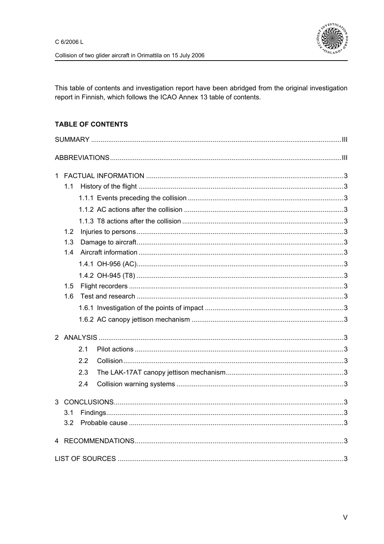

This table of contents and investigation report have been abridged from the original investigation report in Finnish, which follows the ICAO Annex 13 table of contents.

## **TABLE OF CONTENTS**

| 1.1<br>1.2<br>1.3<br>1.4<br>1.5<br>1.6 |                          |  |
|----------------------------------------|--------------------------|--|
|                                        | 2.1<br>2.2<br>2.3<br>2.4 |  |
| 3.1<br>3.2                             |                          |  |
|                                        |                          |  |
|                                        |                          |  |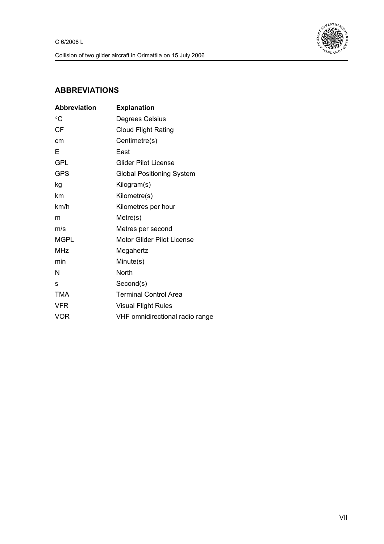

## **ABBREVIATIONS**

| <b>Abbreviation</b> | <b>Explanation</b>               |
|---------------------|----------------------------------|
| °C                  | Degrees Celsius                  |
| <b>CF</b>           | <b>Cloud Flight Rating</b>       |
| cm                  | Centimetre(s)                    |
| Е                   | East                             |
| GPL                 | Glider Pilot License             |
| <b>GPS</b>          | <b>Global Positioning System</b> |
| kg                  | Kilogram(s)                      |
| km                  | Kilometre(s)                     |
| km/h                | Kilometres per hour              |
| m                   | Metre(s)                         |
| m/s                 | Metres per second                |
| <b>MGPL</b>         | Motor Glider Pilot License       |
| MHz                 | Megahertz                        |
| min                 | Minute(s)                        |
| N                   | North                            |
| S                   | Second(s)                        |
| <b>TMA</b>          | <b>Terminal Control Area</b>     |
| <b>VFR</b>          | <b>Visual Flight Rules</b>       |
| <b>VOR</b>          | VHF omnidirectional radio range  |
|                     |                                  |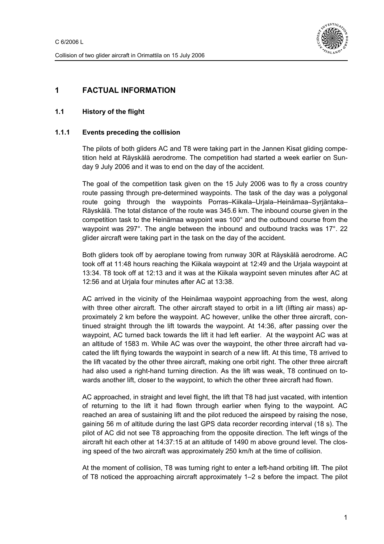

## **1 FACTUAL INFORMATION**

### **1.1 History of the flight**

#### **1.1.1 Events preceding the collision**

The pilots of both gliders AC and T8 were taking part in the Jannen Kisat gliding competition held at Räyskälä aerodrome. The competition had started a week earlier on Sunday 9 July 2006 and it was to end on the day of the accident.

The goal of the competition task given on the 15 July 2006 was to fly a cross country route passing through pre-determined waypoints. The task of the day was a polygonal route going through the waypoints Porras–Kiikala–Urjala–Heinämaa–Syrjäntaka– Räyskälä. The total distance of the route was 345.6 km. The inbound course given in the competition task to the Heinämaa waypoint was 100° and the outbound course from the waypoint was 297°. The angle between the inbound and outbound tracks was 17°. 22 glider aircraft were taking part in the task on the day of the accident.

Both gliders took off by aeroplane towing from runway 30R at Räyskälä aerodrome. AC took off at 11:48 hours reaching the Kiikala waypoint at 12:49 and the Urjala waypoint at 13:34. T8 took off at 12:13 and it was at the Kiikala waypoint seven minutes after AC at 12:56 and at Urjala four minutes after AC at 13:38.

AC arrived in the vicinity of the Heinämaa waypoint approaching from the west, along with three other aircraft. The other aircraft stayed to orbit in a lift (lifting air mass) approximately 2 km before the waypoint. AC however, unlike the other three aircraft, continued straight through the lift towards the waypoint. At 14:36, after passing over the waypoint, AC turned back towards the lift it had left earlier. At the waypoint AC was at an altitude of 1583 m. While AC was over the waypoint, the other three aircraft had vacated the lift flying towards the waypoint in search of a new lift. At this time, T8 arrived to the lift vacated by the other three aircraft, making one orbit right. The other three aircraft had also used a right-hand turning direction. As the lift was weak, T8 continued on towards another lift, closer to the waypoint, to which the other three aircraft had flown.

AC approached, in straight and level flight, the lift that T8 had just vacated, with intention of returning to the lift it had flown through earlier when flying to the waypoint. AC reached an area of sustaining lift and the pilot reduced the airspeed by raising the nose, gaining 56 m of altitude during the last GPS data recorder recording interval (18 s). The pilot of AC did not see T8 approaching from the opposite direction. The left wings of the aircraft hit each other at 14:37:15 at an altitude of 1490 m above ground level. The closing speed of the two aircraft was approximately 250 km/h at the time of collision.

At the moment of collision, T8 was turning right to enter a left-hand orbiting lift. The pilot of T8 noticed the approaching aircraft approximately 1–2 s before the impact. The pilot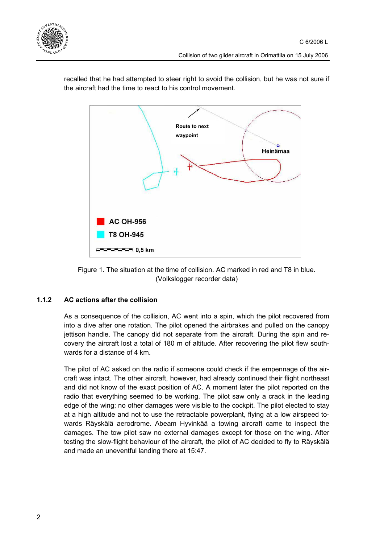



recalled that he had attempted to steer right to avoid the collision, but he was not sure if the aircraft had the time to react to his control movement.



#### **1.1.2 AC actions after the collision**

As a consequence of the collision, AC went into a spin, which the pilot recovered from into a dive after one rotation. The pilot opened the airbrakes and pulled on the canopy jettison handle. The canopy did not separate from the aircraft. During the spin and recovery the aircraft lost a total of 180 m of altitude. After recovering the pilot flew southwards for a distance of 4 km.

The pilot of AC asked on the radio if someone could check if the empennage of the aircraft was intact. The other aircraft, however, had already continued their flight northeast and did not know of the exact position of AC. A moment later the pilot reported on the radio that everything seemed to be working. The pilot saw only a crack in the leading edge of the wing; no other damages were visible to the cockpit. The pilot elected to stay at a high altitude and not to use the retractable powerplant, flying at a low airspeed towards Räyskälä aerodrome. Abeam Hyvinkää a towing aircraft came to inspect the damages. The tow pilot saw no external damages except for those on the wing. After testing the slow-flight behaviour of the aircraft, the pilot of AC decided to fly to Räyskälä and made an uneventful landing there at 15:47.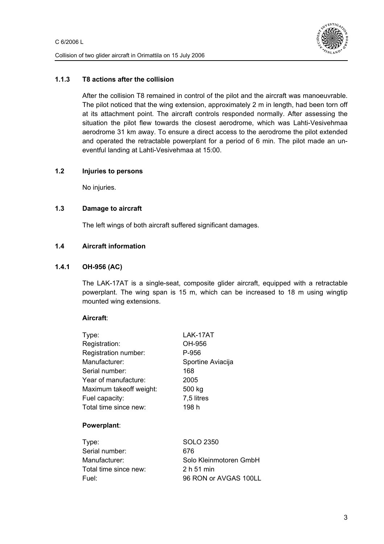

#### **1.1.3 T8 actions after the collision**

After the collision T8 remained in control of the pilot and the aircraft was manoeuvrable. The pilot noticed that the wing extension, approximately 2 m in length, had been torn off at its attachment point. The aircraft controls responded normally. After assessing the situation the pilot flew towards the closest aerodrome, which was Lahti-Vesivehmaa aerodrome 31 km away. To ensure a direct access to the aerodrome the pilot extended and operated the retractable powerplant for a period of 6 min. The pilot made an uneventful landing at Lahti-Vesivehmaa at 15:00.

#### **1.2 Injuries to persons**

No injuries.

#### **1.3 Damage to aircraft**

The left wings of both aircraft suffered significant damages.

#### **1.4 Aircraft information**

#### **1.4.1 OH-956 (AC)**

The LAK-17AT is a single-seat, composite glider aircraft, equipped with a retractable powerplant. The wing span is 15 m, which can be increased to 18 m using wingtip mounted wing extensions.

#### **Aircraft**:

| Type:                   | LAK-17AT          |
|-------------------------|-------------------|
| Registration:           | OH-956            |
| Registration number:    | P-956             |
| Manufacturer:           | Sportine Aviacija |
| Serial number:          | 168               |
| Year of manufacture:    | 2005              |
| Maximum takeoff weight: | 500 kg            |
| Fuel capacity:          | 7,5 litres        |
| Total time since new:   | 198 h             |
|                         |                   |
| Powerplant:             |                   |

| Type:                 | SOLO 2350              |
|-----------------------|------------------------|
| Serial number:        | 676                    |
| Manufacturer:         | Solo Kleinmotoren GmbH |
| Total time since new: | 2 h 51 min             |
| Fuel:                 | 96 RON or AVGAS 100LL  |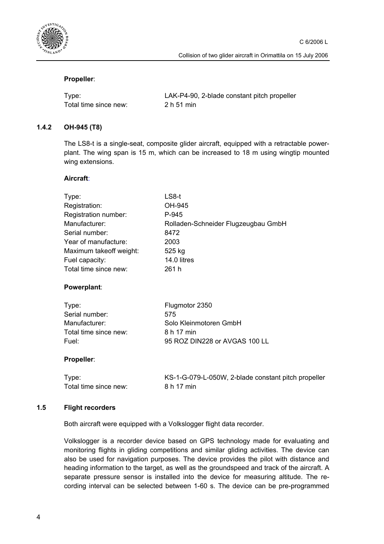

### **Propeller**:

| Type:                 | LAK-P4-90, 2-blade constant pitch propeller |
|-----------------------|---------------------------------------------|
| Total time since new: | 2 h 51 min                                  |

#### **1.4.2 OH-945 (T8)**

The LS8-t is a single-seat, composite glider aircraft, equipped with a retractable powerplant. The wing span is 15 m, which can be increased to 18 m using wingtip mounted wing extensions.

#### **Aircraft**:

| Type:                   | LS8-t                               |
|-------------------------|-------------------------------------|
| Registration:           | OH-945                              |
| Registration number:    | P-945                               |
| Manufacturer:           | Rolladen-Schneider Flugzeugbau GmbH |
| Serial number:          | 8472                                |
| Year of manufacture:    | 2003                                |
| Maximum takeoff weight: | 525 kg                              |
| Fuel capacity:          | 14.0 litres                         |
| Total time since new:   | 261 h                               |
| Powerplant:             |                                     |
| Type:                   | Flugmotor 2350                      |
| Serial number:          | 575                                 |
| Manufacturer:           | Solo Kleinmotoren GmbH              |
| Total time since new:   | 8 h 17 min                          |
| Fuel:                   | 95 ROZ DIN228 or AVGAS 100 LL       |

#### **Propeller**:

Total time since new: 8 h 17 min

Type: KS-1-G-079-L-050W, 2-blade constant pitch propeller

#### **1.5 Flight recorders**

Both aircraft were equipped with a Volkslogger flight data recorder.

Volkslogger is a recorder device based on GPS technology made for evaluating and monitoring flights in gliding competitions and similar gliding activities. The device can also be used for navigation purposes. The device provides the pilot with distance and heading information to the target, as well as the groundspeed and track of the aircraft. A separate pressure sensor is installed into the device for measuring altitude. The recording interval can be selected between 1-60 s. The device can be pre-programmed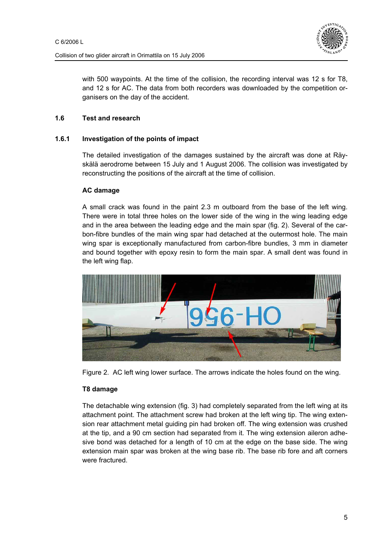

with 500 waypoints. At the time of the collision, the recording interval was 12 s for T8, and 12 s for AC. The data from both recorders was downloaded by the competition organisers on the day of the accident.

### **1.6 Test and research**

#### **1.6.1 Investigation of the points of impact**

The detailed investigation of the damages sustained by the aircraft was done at Räyskälä aerodrome between 15 July and 1 August 2006. The collision was investigated by reconstructing the positions of the aircraft at the time of collision.

#### **AC damage**

A small crack was found in the paint 2.3 m outboard from the base of the left wing. There were in total three holes on the lower side of the wing in the wing leading edge and in the area between the leading edge and the main spar (fig. 2). Several of the carbon-fibre bundles of the main wing spar had detached at the outermost hole. The main wing spar is exceptionally manufactured from carbon-fibre bundles, 3 mm in diameter and bound together with epoxy resin to form the main spar. A small dent was found in the left wing flap.





#### **T8 damage**

The detachable wing extension (fig. 3) had completely separated from the left wing at its attachment point. The attachment screw had broken at the left wing tip. The wing extension rear attachment metal guiding pin had broken off. The wing extension was crushed at the tip, and a 90 cm section had separated from it. The wing extension aileron adhesive bond was detached for a length of 10 cm at the edge on the base side. The wing extension main spar was broken at the wing base rib. The base rib fore and aft corners were fractured.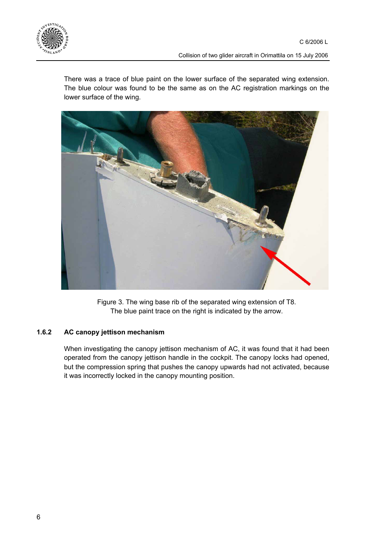

There was a trace of blue paint on the lower surface of the separated wing extension. The blue colour was found to be the same as on the AC registration markings on the lower surface of the wing.



Figure 3. The wing base rib of the separated wing extension of T8. The blue paint trace on the right is indicated by the arrow.

#### **1.6.2 AC canopy jettison mechanism**

When investigating the canopy jettison mechanism of AC, it was found that it had been operated from the canopy jettison handle in the cockpit. The canopy locks had opened, but the compression spring that pushes the canopy upwards had not activated, because it was incorrectly locked in the canopy mounting position.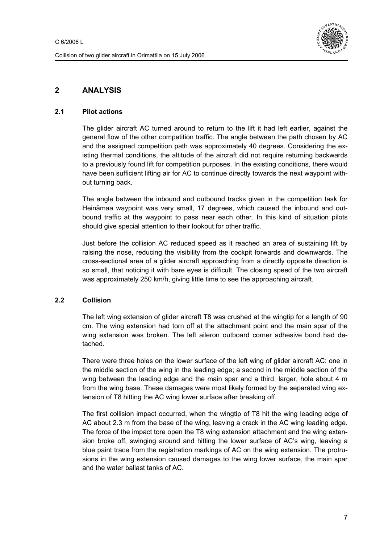

## **2 ANALYSIS**

#### **2.1 Pilot actions**

The glider aircraft AC turned around to return to the lift it had left earlier, against the general flow of the other competition traffic. The angle between the path chosen by AC and the assigned competition path was approximately 40 degrees. Considering the existing thermal conditions, the altitude of the aircraft did not require returning backwards to a previously found lift for competition purposes. In the existing conditions, there would have been sufficient lifting air for AC to continue directly towards the next waypoint without turning back.

The angle between the inbound and outbound tracks given in the competition task for Heinämaa waypoint was very small, 17 degrees, which caused the inbound and outbound traffic at the waypoint to pass near each other. In this kind of situation pilots should give special attention to their lookout for other traffic.

Just before the collision AC reduced speed as it reached an area of sustaining lift by raising the nose, reducing the visibility from the cockpit forwards and downwards. The cross-sectional area of a glider aircraft approaching from a directly opposite direction is so small, that noticing it with bare eyes is difficult. The closing speed of the two aircraft was approximately 250 km/h, giving little time to see the approaching aircraft.

#### **2.2 Collision**

The left wing extension of glider aircraft T8 was crushed at the wingtip for a length of 90 cm. The wing extension had torn off at the attachment point and the main spar of the wing extension was broken. The left aileron outboard corner adhesive bond had detached.

There were three holes on the lower surface of the left wing of glider aircraft AC: one in the middle section of the wing in the leading edge; a second in the middle section of the wing between the leading edge and the main spar and a third, larger, hole about 4 m from the wing base. These damages were most likely formed by the separated wing extension of T8 hitting the AC wing lower surface after breaking off.

The first collision impact occurred, when the wingtip of T8 hit the wing leading edge of AC about 2.3 m from the base of the wing, leaving a crack in the AC wing leading edge. The force of the impact tore open the T8 wing extension attachment and the wing extension broke off, swinging around and hitting the lower surface of AC's wing, leaving a blue paint trace from the registration markings of AC on the wing extension. The protrusions in the wing extension caused damages to the wing lower surface, the main spar and the water ballast tanks of AC.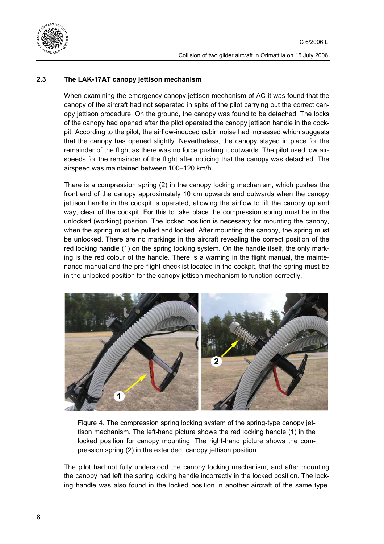

### **2.3 The LAK-17AT canopy jettison mechanism**

When examining the emergency canopy jettison mechanism of AC it was found that the canopy of the aircraft had not separated in spite of the pilot carrying out the correct canopy jettison procedure. On the ground, the canopy was found to be detached. The locks of the canopy had opened after the pilot operated the canopy jettison handle in the cockpit. According to the pilot, the airflow-induced cabin noise had increased which suggests that the canopy has opened slightly. Nevertheless, the canopy stayed in place for the remainder of the flight as there was no force pushing it outwards. The pilot used low airspeeds for the remainder of the flight after noticing that the canopy was detached. The airspeed was maintained between 100–120 km/h.

There is a compression spring (2) in the canopy locking mechanism, which pushes the front end of the canopy approximately 10 cm upwards and outwards when the canopy jettison handle in the cockpit is operated, allowing the airflow to lift the canopy up and way, clear of the cockpit. For this to take place the compression spring must be in the unlocked (working) position. The locked position is necessary for mounting the canopy, when the spring must be pulled and locked. After mounting the canopy, the spring must be unlocked. There are no markings in the aircraft revealing the correct position of the red locking handle (1) on the spring locking system. On the handle itself, the only marking is the red colour of the handle. There is a warning in the flight manual, the maintenance manual and the pre-flight checklist located in the cockpit, that the spring must be in the unlocked position for the canopy jettison mechanism to function correctly.



Figure 4. The compression spring locking system of the spring-type canopy jettison mechanism. The left-hand picture shows the red locking handle (1) in the locked position for canopy mounting. The right-hand picture shows the compression spring (2) in the extended, canopy jettison position.

The pilot had not fully understood the canopy locking mechanism, and after mounting the canopy had left the spring locking handle incorrectly in the locked position. The locking handle was also found in the locked position in another aircraft of the same type.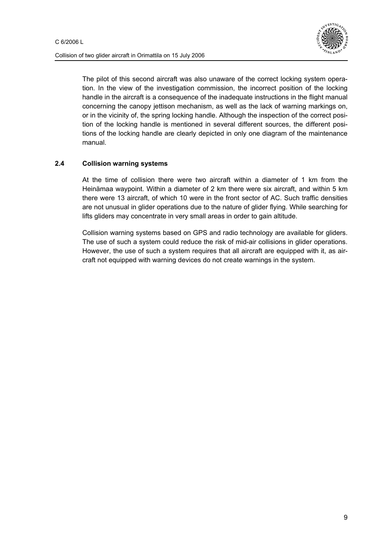

Collision of two glider aircraft in Orimattila on 15 July 2006

The pilot of this second aircraft was also unaware of the correct locking system operation. In the view of the investigation commission, the incorrect position of the locking handle in the aircraft is a consequence of the inadequate instructions in the flight manual concerning the canopy jettison mechanism, as well as the lack of warning markings on, or in the vicinity of, the spring locking handle. Although the inspection of the correct position of the locking handle is mentioned in several different sources, the different positions of the locking handle are clearly depicted in only one diagram of the maintenance manual.

#### **2.4 Collision warning systems**

At the time of collision there were two aircraft within a diameter of 1 km from the Heinämaa waypoint. Within a diameter of 2 km there were six aircraft, and within 5 km there were 13 aircraft, of which 10 were in the front sector of AC. Such traffic densities are not unusual in glider operations due to the nature of glider flying. While searching for lifts gliders may concentrate in very small areas in order to gain altitude.

Collision warning systems based on GPS and radio technology are available for gliders. The use of such a system could reduce the risk of mid-air collisions in glider operations. However, the use of such a system requires that all aircraft are equipped with it, as aircraft not equipped with warning devices do not create warnings in the system.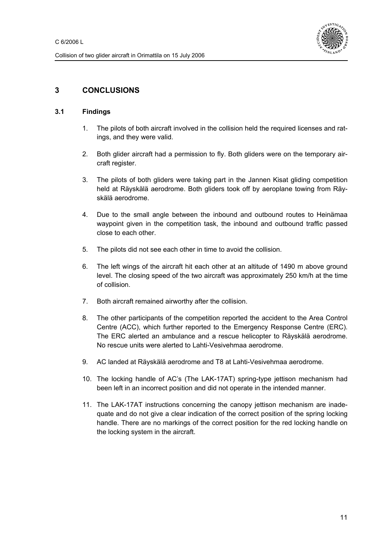

## **3 CONCLUSIONS**

#### **3.1 Findings**

- 1. The pilots of both aircraft involved in the collision held the required licenses and ratings, and they were valid.
- 2. Both glider aircraft had a permission to fly. Both gliders were on the temporary aircraft register.
- 3. The pilots of both gliders were taking part in the Jannen Kisat gliding competition held at Räyskälä aerodrome. Both gliders took off by aeroplane towing from Räyskälä aerodrome.
- 4. Due to the small angle between the inbound and outbound routes to Heinämaa waypoint given in the competition task, the inbound and outbound traffic passed close to each other.
- 5. The pilots did not see each other in time to avoid the collision.
- 6. The left wings of the aircraft hit each other at an altitude of 1490 m above ground level. The closing speed of the two aircraft was approximately 250 km/h at the time of collision.
- 7. Both aircraft remained airworthy after the collision.
- 8. The other participants of the competition reported the accident to the Area Control Centre (ACC), which further reported to the Emergency Response Centre (ERC). The ERC alerted an ambulance and a rescue helicopter to Räyskälä aerodrome. No rescue units were alerted to Lahti-Vesivehmaa aerodrome.
- 9. AC landed at Räyskälä aerodrome and T8 at Lahti-Vesivehmaa aerodrome.
- 10. The locking handle of AC's (The LAK-17AT) spring-type jettison mechanism had been left in an incorrect position and did not operate in the intended manner.
- 11. The LAK-17AT instructions concerning the canopy jettison mechanism are inadequate and do not give a clear indication of the correct position of the spring locking handle. There are no markings of the correct position for the red locking handle on the locking system in the aircraft.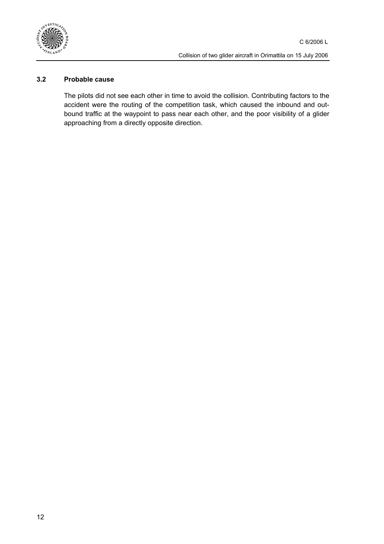

#### **3.2 Probable cause**

The pilots did not see each other in time to avoid the collision. Contributing factors to the accident were the routing of the competition task, which caused the inbound and outbound traffic at the waypoint to pass near each other, and the poor visibility of a glider approaching from a directly opposite direction.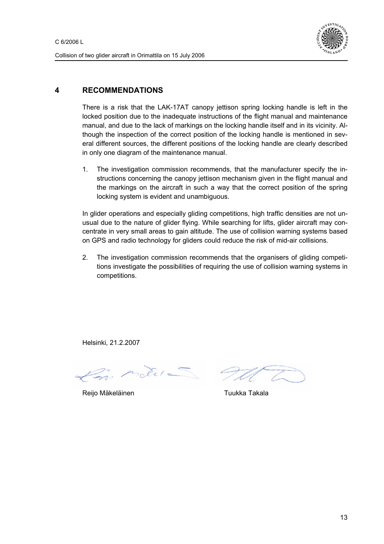

## **4 RECOMMENDATIONS**

There is a risk that the LAK-17AT canopy jettison spring locking handle is left in the locked position due to the inadequate instructions of the flight manual and maintenance manual, and due to the lack of markings on the locking handle itself and in its vicinity. Although the inspection of the correct position of the locking handle is mentioned in several different sources, the different positions of the locking handle are clearly described in only one diagram of the maintenance manual.

1. The investigation commission recommends, that the manufacturer specify the instructions concerning the canopy jettison mechanism given in the flight manual and the markings on the aircraft in such a way that the correct position of the spring locking system is evident and unambiguous.

In glider operations and especially gliding competitions, high traffic densities are not unusual due to the nature of glider flying. While searching for lifts, glider aircraft may concentrate in very small areas to gain altitude. The use of collision warning systems based on GPS and radio technology for gliders could reduce the risk of mid-air collisions.

2. The investigation commission recommends that the organisers of gliding competitions investigate the possibilities of requiring the use of collision warning systems in competitions.

Helsinki, 21.2.2007

de la

Reijo Mäkeläinen Tuukka Takala